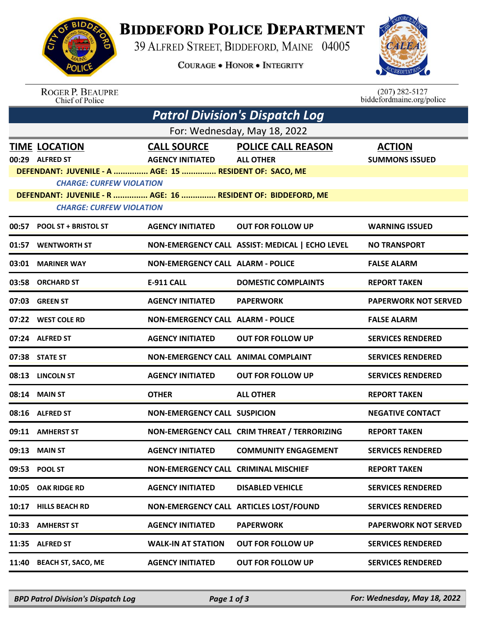

## **BIDDEFORD POLICE DEPARTMENT**

39 ALFRED STREET, BIDDEFORD, MAINE 04005

**COURAGE . HONOR . INTEGRITY** 



ROGER P. BEAUPRE<br>Chief of Police

 $(207)$  282-5127<br>biddefordmaine.org/police

| <b>Patrol Division's Dispatch Log</b>                                                           |                                                         |                                               |                                                 |                                        |  |  |  |  |
|-------------------------------------------------------------------------------------------------|---------------------------------------------------------|-----------------------------------------------|-------------------------------------------------|----------------------------------------|--|--|--|--|
| For: Wednesday, May 18, 2022                                                                    |                                                         |                                               |                                                 |                                        |  |  |  |  |
|                                                                                                 | <b>TIME LOCATION</b><br>00:29 ALFRED ST                 | <b>CALL SOURCE</b><br><b>AGENCY INITIATED</b> | <b>POLICE CALL REASON</b><br><b>ALL OTHER</b>   | <b>ACTION</b><br><b>SUMMONS ISSUED</b> |  |  |  |  |
|                                                                                                 | DEFENDANT: JUVENILE - A  AGE: 15  RESIDENT OF: SACO, ME |                                               |                                                 |                                        |  |  |  |  |
|                                                                                                 | <b>CHARGE: CURFEW VIOLATION</b>                         |                                               |                                                 |                                        |  |  |  |  |
| DEFENDANT: JUVENILE - R  AGE: 16  RESIDENT OF: BIDDEFORD, ME<br><b>CHARGE: CURFEW VIOLATION</b> |                                                         |                                               |                                                 |                                        |  |  |  |  |
|                                                                                                 | 00:57 POOL ST + BRISTOL ST                              | <b>AGENCY INITIATED</b>                       | <b>OUT FOR FOLLOW UP</b>                        | <b>WARNING ISSUED</b>                  |  |  |  |  |
|                                                                                                 | 01:57 WENTWORTH ST                                      |                                               | NON-EMERGENCY CALL ASSIST: MEDICAL   ECHO LEVEL | <b>NO TRANSPORT</b>                    |  |  |  |  |
|                                                                                                 | 03:01 MARINER WAY                                       | <b>NON-EMERGENCY CALL ALARM - POLICE</b>      |                                                 | <b>FALSE ALARM</b>                     |  |  |  |  |
|                                                                                                 | 03:58 ORCHARD ST                                        | <b>E-911 CALL</b>                             | <b>DOMESTIC COMPLAINTS</b>                      | <b>REPORT TAKEN</b>                    |  |  |  |  |
|                                                                                                 | 07:03 GREEN ST                                          | <b>AGENCY INITIATED</b>                       | <b>PAPERWORK</b>                                | <b>PAPERWORK NOT SERVED</b>            |  |  |  |  |
|                                                                                                 | 07:22 WEST COLE RD                                      | <b>NON-EMERGENCY CALL ALARM - POLICE</b>      |                                                 | <b>FALSE ALARM</b>                     |  |  |  |  |
|                                                                                                 | 07:24 ALFRED ST                                         | <b>AGENCY INITIATED</b>                       | <b>OUT FOR FOLLOW UP</b>                        | <b>SERVICES RENDERED</b>               |  |  |  |  |
|                                                                                                 | 07:38 STATE ST                                          | NON-EMERGENCY CALL ANIMAL COMPLAINT           |                                                 | <b>SERVICES RENDERED</b>               |  |  |  |  |
|                                                                                                 | 08:13 LINCOLN ST                                        | <b>AGENCY INITIATED</b>                       | <b>OUT FOR FOLLOW UP</b>                        | <b>SERVICES RENDERED</b>               |  |  |  |  |
|                                                                                                 | 08:14 MAIN ST                                           | <b>OTHER</b>                                  | <b>ALL OTHER</b>                                | <b>REPORT TAKEN</b>                    |  |  |  |  |
|                                                                                                 | 08:16 ALFRED ST                                         | <b>NON-EMERGENCY CALL SUSPICION</b>           |                                                 | <b>NEGATIVE CONTACT</b>                |  |  |  |  |
|                                                                                                 | 09:11 AMHERST ST                                        |                                               | NON-EMERGENCY CALL CRIM THREAT / TERRORIZING    | <b>REPORT TAKEN</b>                    |  |  |  |  |
|                                                                                                 | 09:13 MAIN ST                                           | <b>AGENCY INITIATED</b>                       | <b>COMMUNITY ENGAGEMENT</b>                     | <b>SERVICES RENDERED</b>               |  |  |  |  |
|                                                                                                 | 09:53 POOL ST                                           | NON-EMERGENCY CALL CRIMINAL MISCHIEF          |                                                 | <b>REPORT TAKEN</b>                    |  |  |  |  |
| 10:05                                                                                           | <b>OAK RIDGE RD</b>                                     | <b>AGENCY INITIATED</b>                       | <b>DISABLED VEHICLE</b>                         | <b>SERVICES RENDERED</b>               |  |  |  |  |
| 10:17                                                                                           | <b>HILLS BEACH RD</b>                                   |                                               | NON-EMERGENCY CALL ARTICLES LOST/FOUND          | <b>SERVICES RENDERED</b>               |  |  |  |  |
| 10:33                                                                                           | <b>AMHERST ST</b>                                       | <b>AGENCY INITIATED</b>                       | <b>PAPERWORK</b>                                | <b>PAPERWORK NOT SERVED</b>            |  |  |  |  |
|                                                                                                 | 11:35 ALFRED ST                                         | <b>WALK-IN AT STATION</b>                     | <b>OUT FOR FOLLOW UP</b>                        | <b>SERVICES RENDERED</b>               |  |  |  |  |
| 11:40                                                                                           | <b>BEACH ST, SACO, ME</b>                               | <b>AGENCY INITIATED</b>                       | <b>OUT FOR FOLLOW UP</b>                        | <b>SERVICES RENDERED</b>               |  |  |  |  |

*BPD Patrol Division's Dispatch Log Page 1 of 3 For: Wednesday, May 18, 2022*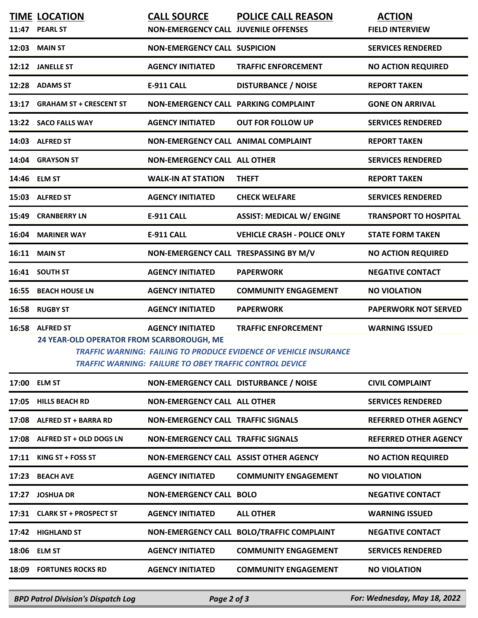|       | <b>TIME LOCATION</b><br>11:47 PEARL ST                        | <b>CALL SOURCE</b><br><b>NON-EMERGENCY CALL JUVENILE OFFENSES</b>                         | <b>POLICE CALL REASON</b>                                                                       | <b>ACTION</b><br><b>FIELD INTERVIEW</b> |
|-------|---------------------------------------------------------------|-------------------------------------------------------------------------------------------|-------------------------------------------------------------------------------------------------|-----------------------------------------|
|       | 12:03 MAIN ST                                                 | <b>NON-EMERGENCY CALL SUSPICION</b>                                                       |                                                                                                 | <b>SERVICES RENDERED</b>                |
|       | 12:12 JANELLE ST                                              | <b>AGENCY INITIATED</b>                                                                   | <b>TRAFFIC ENFORCEMENT</b>                                                                      | <b>NO ACTION REQUIRED</b>               |
|       | 12:28 ADAMS ST                                                | <b>E-911 CALL</b>                                                                         | <b>DISTURBANCE / NOISE</b>                                                                      | <b>REPORT TAKEN</b>                     |
|       | 13:17 GRAHAM ST + CRESCENT ST                                 | NON-EMERGENCY CALL PARKING COMPLAINT                                                      |                                                                                                 | <b>GONE ON ARRIVAL</b>                  |
|       | 13:22 SACO FALLS WAY                                          | <b>AGENCY INITIATED</b>                                                                   | <b>OUT FOR FOLLOW UP</b>                                                                        | <b>SERVICES RENDERED</b>                |
|       | 14:03 ALFRED ST                                               | NON-EMERGENCY CALL ANIMAL COMPLAINT                                                       |                                                                                                 | <b>REPORT TAKEN</b>                     |
|       | 14:04 GRAYSON ST                                              | <b>NON-EMERGENCY CALL ALL OTHER</b>                                                       |                                                                                                 | <b>SERVICES RENDERED</b>                |
|       | 14:46 ELM ST                                                  | <b>WALK-IN AT STATION</b>                                                                 | <b>THEFT</b>                                                                                    | <b>REPORT TAKEN</b>                     |
|       | 15:03 ALFRED ST                                               | <b>AGENCY INITIATED</b>                                                                   | <b>CHECK WELFARE</b>                                                                            | <b>SERVICES RENDERED</b>                |
| 15:49 | <b>CRANBERRY LN</b>                                           | E-911 CALL                                                                                | <b>ASSIST: MEDICAL W/ ENGINE</b>                                                                | <b>TRANSPORT TO HOSPITAL</b>            |
|       | 16:04 MARINER WAY                                             | <b>E-911 CALL</b>                                                                         | <b>VEHICLE CRASH - POLICE ONLY</b>                                                              | <b>STATE FORM TAKEN</b>                 |
|       | 16:11 MAIN ST                                                 | NON-EMERGENCY CALL TRESPASSING BY M/V                                                     |                                                                                                 | <b>NO ACTION REQUIRED</b>               |
|       | 16:41 SOUTH ST                                                | <b>AGENCY INITIATED</b>                                                                   | <b>PAPERWORK</b>                                                                                | <b>NEGATIVE CONTACT</b>                 |
| 16:55 | <b>BEACH HOUSE LN</b>                                         | <b>AGENCY INITIATED</b>                                                                   | <b>COMMUNITY ENGAGEMENT</b>                                                                     | <b>NO VIOLATION</b>                     |
|       | 16:58 RUGBY ST                                                | <b>AGENCY INITIATED</b>                                                                   | <b>PAPERWORK</b>                                                                                | <b>PAPERWORK NOT SERVED</b>             |
| 16:58 | <b>ALFRED ST</b><br>24 YEAR-OLD OPERATOR FROM SCARBOROUGH, ME | <b>AGENCY INITIATED</b><br><b>TRAFFIC WARNING: FAILURE TO OBEY TRAFFIC CONTROL DEVICE</b> | <b>TRAFFIC ENFORCEMENT</b><br>TRAFFIC WARNING: FAILING TO PRODUCE EVIDENCE OF VEHICLE INSURANCE | <b>WARNING ISSUED</b>                   |
|       | 17:00 ELM ST                                                  | NON-EMERGENCY CALL DISTURBANCE / NOISE                                                    |                                                                                                 | <b>CIVIL COMPLAINT</b>                  |
| 17:05 | <b>HILLS BEACH RD</b>                                         | <b>NON-EMERGENCY CALL ALL OTHER</b>                                                       |                                                                                                 | <b>SERVICES RENDERED</b>                |
|       | 17:08 ALFRED ST + BARRA RD                                    | <b>NON-EMERGENCY CALL TRAFFIC SIGNALS</b>                                                 |                                                                                                 | <b>REFERRED OTHER AGENCY</b>            |
|       | 17:08 ALFRED ST + OLD DOGS LN                                 | <b>NON-EMERGENCY CALL TRAFFIC SIGNALS</b>                                                 |                                                                                                 | <b>REFERRED OTHER AGENCY</b>            |
|       | 17:11 KING ST + FOSS ST                                       | NON-EMERGENCY CALL ASSIST OTHER AGENCY                                                    |                                                                                                 | <b>NO ACTION REQUIRED</b>               |
| 17:23 | <b>BEACH AVE</b>                                              | <b>AGENCY INITIATED</b>                                                                   | <b>COMMUNITY ENGAGEMENT</b>                                                                     | <b>NO VIOLATION</b>                     |
| 17:27 | <b>JOSHUA DR</b>                                              | <b>NON-EMERGENCY CALL BOLO</b>                                                            |                                                                                                 | <b>NEGATIVE CONTACT</b>                 |
|       | 17:31 CLARK ST + PROSPECT ST                                  | <b>AGENCY INITIATED</b>                                                                   | <b>ALL OTHER</b>                                                                                | <b>WARNING ISSUED</b>                   |
|       | 17:42 HIGHLAND ST                                             |                                                                                           | NON-EMERGENCY CALL BOLO/TRAFFIC COMPLAINT                                                       | <b>NEGATIVE CONTACT</b>                 |
|       | 18:06 ELM ST                                                  | <b>AGENCY INITIATED</b>                                                                   | <b>COMMUNITY ENGAGEMENT</b>                                                                     | <b>SERVICES RENDERED</b>                |
|       | 18:09 FORTUNES ROCKS RD                                       | <b>AGENCY INITIATED</b>                                                                   | <b>COMMUNITY ENGAGEMENT</b>                                                                     | <b>NO VIOLATION</b>                     |
|       |                                                               |                                                                                           |                                                                                                 |                                         |

*BPD Patrol Division's Dispatch Log Page 2 of 3 For: Wednesday, May 18, 2022*